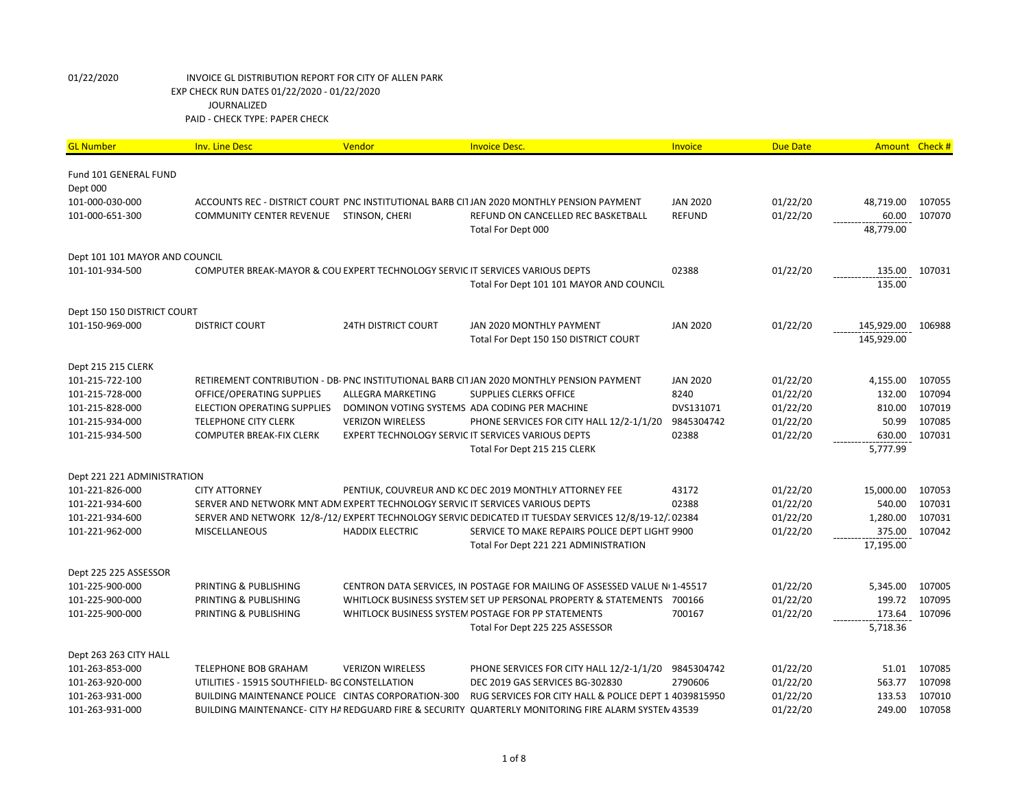| <b>GL Number</b>                  | <b>Inv. Line Desc</b>                                                         | Vendor                     | <b>Invoice Desc.</b>                                                                                   | Invoice         | <b>Due Date</b> |                    | Amount Check # |
|-----------------------------------|-------------------------------------------------------------------------------|----------------------------|--------------------------------------------------------------------------------------------------------|-----------------|-----------------|--------------------|----------------|
| Fund 101 GENERAL FUND<br>Dept 000 |                                                                               |                            |                                                                                                        |                 |                 |                    |                |
| 101-000-030-000                   |                                                                               |                            | ACCOUNTS REC - DISTRICT COURT PNC INSTITUTIONAL BARB CI1JAN 2020 MONTHLY PENSION PAYMENT               | <b>JAN 2020</b> | 01/22/20        | 48,719.00          | 107055         |
| 101-000-651-300                   | <b>COMMUNITY CENTER REVENUE</b>                                               | STINSON, CHERI             | REFUND ON CANCELLED REC BASKETBALL                                                                     | <b>REFUND</b>   | 01/22/20        | 60.00              | 107070         |
|                                   |                                                                               |                            | Total For Dept 000                                                                                     |                 |                 | 48,779.00          |                |
| Dept 101 101 MAYOR AND COUNCIL    |                                                                               |                            |                                                                                                        |                 |                 |                    |                |
| 101-101-934-500                   | COMPUTER BREAK-MAYOR & COU EXPERT TECHNOLOGY SERVIC IT SERVICES VARIOUS DEPTS |                            |                                                                                                        | 02388           | 01/22/20        | 135.00             | 107031         |
|                                   |                                                                               |                            | Total For Dept 101 101 MAYOR AND COUNCIL                                                               |                 |                 | 135.00             |                |
| Dept 150 150 DISTRICT COURT       |                                                                               |                            |                                                                                                        |                 |                 |                    |                |
| 101-150-969-000                   | <b>DISTRICT COURT</b>                                                         | <b>24TH DISTRICT COURT</b> | JAN 2020 MONTHLY PAYMENT                                                                               | <b>JAN 2020</b> | 01/22/20        | 145,929.00         | 106988         |
|                                   |                                                                               |                            | Total For Dept 150 150 DISTRICT COURT                                                                  |                 |                 | 145,929.00         |                |
| Dept 215 215 CLERK                |                                                                               |                            |                                                                                                        |                 |                 |                    |                |
| 101-215-722-100                   |                                                                               |                            | RETIREMENT CONTRIBUTION - DB- PNC INSTITUTIONAL BARB CITJAN 2020 MONTHLY PENSION PAYMENT               | <b>JAN 2020</b> | 01/22/20        | 4,155.00           | 107055         |
| 101-215-728-000                   | OFFICE/OPERATING SUPPLIES                                                     | ALLEGRA MARKETING          | <b>SUPPLIES CLERKS OFFICE</b>                                                                          | 8240            | 01/22/20        | 132.00             | 107094         |
| 101-215-828-000                   | ELECTION OPERATING SUPPLIES                                                   |                            | DOMINON VOTING SYSTEMS ADA CODING PER MACHINE                                                          | DVS131071       | 01/22/20        | 810.00             | 107019         |
| 101-215-934-000                   | <b>TELEPHONE CITY CLERK</b>                                                   | <b>VERIZON WIRELESS</b>    | PHONE SERVICES FOR CITY HALL 12/2-1/1/20                                                               | 9845304742      | 01/22/20        | 50.99              | 107085         |
| 101-215-934-500                   | <b>COMPUTER BREAK-FIX CLERK</b>                                               |                            | <b>EXPERT TECHNOLOGY SERVIC IT SERVICES VARIOUS DEPTS</b><br>Total For Dept 215 215 CLERK              | 02388           | 01/22/20        | 630.00<br>5,777.99 | 107031         |
| Dept 221 221 ADMINISTRATION       |                                                                               |                            |                                                                                                        |                 |                 |                    |                |
| 101-221-826-000                   | <b>CITY ATTORNEY</b>                                                          |                            | PENTIUK, COUVREUR AND KC DEC 2019 MONTHLY ATTORNEY FEE                                                 | 43172           | 01/22/20        | 15,000.00          | 107053         |
| 101-221-934-600                   | SERVER AND NETWORK MNT ADM EXPERT TECHNOLOGY SERVIC IT SERVICES VARIOUS DEPTS |                            |                                                                                                        | 02388           | 01/22/20        | 540.00             | 107031         |
| 101-221-934-600                   |                                                                               |                            | SERVER AND NETWORK 12/8-/12/ EXPERT TECHNOLOGY SERVIC DEDICATED IT TUESDAY SERVICES 12/8/19-12/. 02384 |                 | 01/22/20        | 1,280.00           | 107031         |
| 101-221-962-000                   | MISCELLANEOUS                                                                 | <b>HADDIX ELECTRIC</b>     | SERVICE TO MAKE REPAIRS POLICE DEPT LIGHT 9900                                                         |                 | 01/22/20        | 375.00             | 107042         |
|                                   |                                                                               |                            | Total For Dept 221 221 ADMINISTRATION                                                                  |                 |                 | 17,195.00          |                |
| Dept 225 225 ASSESSOR             |                                                                               |                            |                                                                                                        |                 |                 |                    |                |
| 101-225-900-000                   | PRINTING & PUBLISHING                                                         |                            | CENTRON DATA SERVICES, IN POSTAGE FOR MAILING OF ASSESSED VALUE Nº 1-45517                             |                 | 01/22/20        | 5,345.00           | 107005         |
| 101-225-900-000                   | PRINTING & PUBLISHING                                                         |                            | WHITLOCK BUSINESS SYSTEM SET UP PERSONAL PROPERTY & STATEMENTS 700166                                  |                 | 01/22/20        | 199.72             | 107095         |
| 101-225-900-000                   | PRINTING & PUBLISHING                                                         |                            | WHITLOCK BUSINESS SYSTEM POSTAGE FOR PP STATEMENTS                                                     | 700167          | 01/22/20        | 173.64             | 107096         |
|                                   |                                                                               |                            | Total For Dept 225 225 ASSESSOR                                                                        |                 |                 | 5,718.36           |                |
| Dept 263 263 CITY HALL            |                                                                               |                            |                                                                                                        |                 |                 |                    |                |
| 101-263-853-000                   | <b>TELEPHONE BOB GRAHAM</b>                                                   | <b>VERIZON WIRELESS</b>    | PHONE SERVICES FOR CITY HALL 12/2-1/1/20                                                               | 9845304742      | 01/22/20        | 51.01              | 107085         |
| 101-263-920-000                   | UTILITIES - 15915 SOUTHFIELD- BG CONSTELLATION                                |                            | DEC 2019 GAS SERVICES BG-302830                                                                        | 2790606         | 01/22/20        | 563.77             | 107098         |
| 101-263-931-000                   | BUILDING MAINTENANCE POLICE CINTAS CORPORATION-300                            |                            | RUG SERVICES FOR CITY HALL & POLICE DEPT 1 4039815950                                                  |                 | 01/22/20        | 133.53             | 107010         |
| 101-263-931-000                   |                                                                               |                            | BUILDING MAINTENANCE- CITY HA REDGUARD FIRE & SECURITY QUARTERLY MONITORING FIRE ALARM SYSTEN 43539    |                 | 01/22/20        | 249.00             | 107058         |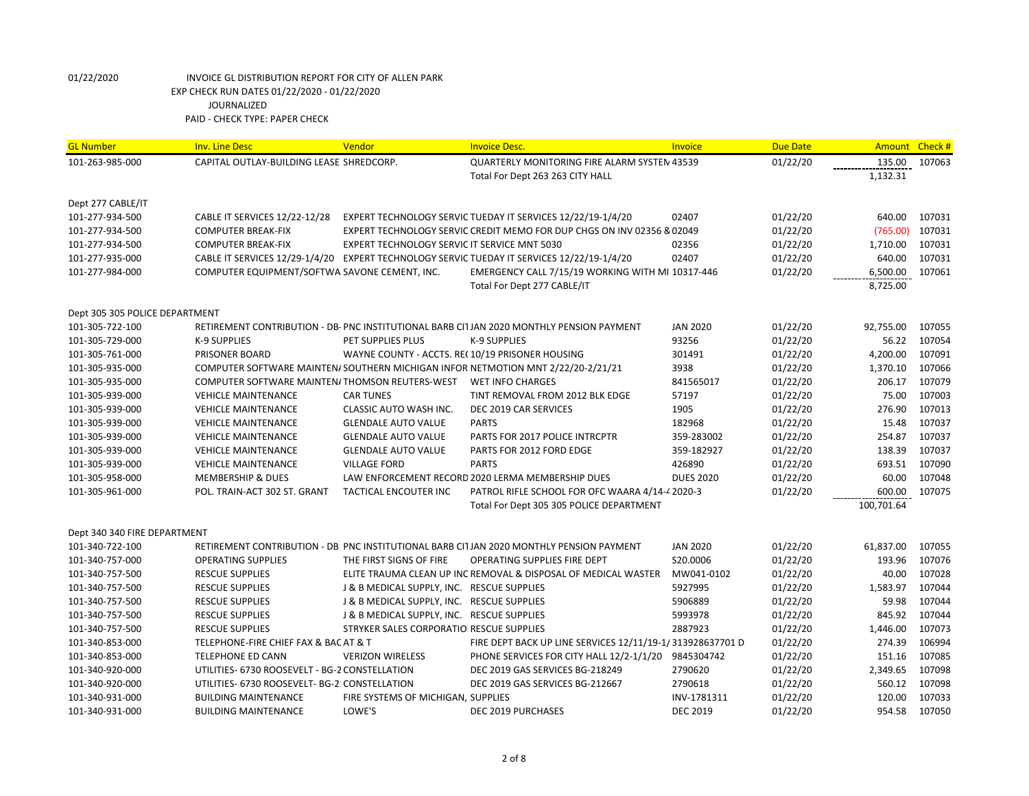| <b>GL Number</b>               | <b>Inv. Line Desc</b>                          | Vendor                                          | <b>Invoice Desc.</b>                                                                       | <b>Invoice</b>   | <b>Due Date</b> | Amount Check # |        |
|--------------------------------|------------------------------------------------|-------------------------------------------------|--------------------------------------------------------------------------------------------|------------------|-----------------|----------------|--------|
| 101-263-985-000                | CAPITAL OUTLAY-BUILDING LEASE SHREDCORP.       |                                                 | <b>QUARTERLY MONITORING FIRE ALARM SYSTEN 43539</b>                                        |                  | 01/22/20        | 135.00         | 107063 |
|                                |                                                |                                                 | Total For Dept 263 263 CITY HALL                                                           |                  |                 | 1,132.31       |        |
| Dept 277 CABLE/IT              |                                                |                                                 |                                                                                            |                  |                 |                |        |
| 101-277-934-500                | CABLE IT SERVICES 12/22-12/28                  |                                                 | EXPERT TECHNOLOGY SERVIC TUEDAY IT SERVICES 12/22/19-1/4/20                                | 02407            | 01/22/20        | 640.00         | 107031 |
| 101-277-934-500                | <b>COMPUTER BREAK-FIX</b>                      |                                                 | EXPERT TECHNOLOGY SERVIC CREDIT MEMO FOR DUP CHGS ON INV 02356 & 02049                     |                  | 01/22/20        | (765.00)       | 107031 |
| 101-277-934-500                | <b>COMPUTER BREAK-FIX</b>                      | EXPERT TECHNOLOGY SERVIC IT SERVICE MNT 5030    |                                                                                            | 02356            | 01/22/20        | 1,710.00       | 107031 |
| 101-277-935-000                |                                                |                                                 | CABLE IT SERVICES 12/29-1/4/20 EXPERT TECHNOLOGY SERVIC TUEDAY IT SERVICES 12/22/19-1/4/20 | 02407            | 01/22/20        | 640.00         | 107031 |
| 101-277-984-000                | COMPUTER EQUIPMENT/SOFTWA SAVONE CEMENT, INC.  |                                                 | EMERGENCY CALL 7/15/19 WORKING WITH MI 10317-446                                           |                  | 01/22/20        | 6,500.00       | 107061 |
|                                |                                                |                                                 | Total For Dept 277 CABLE/IT                                                                |                  |                 | 8,725.00       |        |
| Dept 305 305 POLICE DEPARTMENT |                                                |                                                 |                                                                                            |                  |                 |                |        |
| 101-305-722-100                |                                                |                                                 | RETIREMENT CONTRIBUTION - DB- PNC INSTITUTIONAL BARB CI1JAN 2020 MONTHLY PENSION PAYMENT   | <b>JAN 2020</b>  | 01/22/20        | 92,755.00      | 107055 |
| 101-305-729-000                | <b>K-9 SUPPLIES</b>                            | PET SUPPLIES PLUS                               | <b>K-9 SUPPLIES</b>                                                                        | 93256            | 01/22/20        | 56.22          | 107054 |
| 101-305-761-000                | PRISONER BOARD                                 | WAYNE COUNTY - ACCTS. REC10/19 PRISONER HOUSING |                                                                                            | 301491           | 01/22/20        | 4,200.00       | 107091 |
| 101-305-935-000                |                                                |                                                 | COMPUTER SOFTWARE MAINTEN/SOUTHERN MICHIGAN INFOR NETMOTION MNT 2/22/20-2/21/21            | 3938             | 01/22/20        | 1,370.10       | 107066 |
| 101-305-935-000                | COMPUTER SOFTWARE MAINTEN/THOMSON REUTERS-WEST |                                                 | <b>WET INFO CHARGES</b>                                                                    | 841565017        | 01/22/20        | 206.17         | 107079 |
| 101-305-939-000                | <b>VEHICLE MAINTENANCE</b>                     | <b>CAR TUNES</b>                                | TINT REMOVAL FROM 2012 BLK EDGE                                                            | 57197            | 01/22/20        | 75.00          | 107003 |
| 101-305-939-000                | <b>VEHICLE MAINTENANCE</b>                     | CLASSIC AUTO WASH INC.                          | DEC 2019 CAR SERVICES                                                                      | 1905             | 01/22/20        | 276.90         | 107013 |
| 101-305-939-000                | <b>VEHICLE MAINTENANCE</b>                     | <b>GLENDALE AUTO VALUE</b>                      | <b>PARTS</b>                                                                               | 182968           | 01/22/20        | 15.48          | 107037 |
| 101-305-939-000                | <b>VEHICLE MAINTENANCE</b>                     | <b>GLENDALE AUTO VALUE</b>                      | PARTS FOR 2017 POLICE INTRCPTR                                                             | 359-283002       | 01/22/20        | 254.87         | 107037 |
| 101-305-939-000                | <b>VEHICLE MAINTENANCE</b>                     | <b>GLENDALE AUTO VALUE</b>                      | PARTS FOR 2012 FORD EDGE                                                                   | 359-182927       | 01/22/20        | 138.39         | 107037 |
| 101-305-939-000                | <b>VEHICLE MAINTENANCE</b>                     | <b>VILLAGE FORD</b>                             | <b>PARTS</b>                                                                               | 426890           | 01/22/20        | 693.51         | 107090 |
| 101-305-958-000                | <b>MEMBERSHIP &amp; DUES</b>                   |                                                 | LAW ENFORCEMENT RECORD 2020 LERMA MEMBERSHIP DUES                                          | <b>DUES 2020</b> | 01/22/20        | 60.00          | 107048 |
| 101-305-961-000                | POL. TRAIN-ACT 302 ST. GRANT                   | <b>TACTICAL ENCOUTER INC</b>                    | PATROL RIFLE SCHOOL FOR OFC WAARA 4/14-4 2020-3                                            |                  | 01/22/20        | 600.00         | 107075 |
|                                |                                                |                                                 | Total For Dept 305 305 POLICE DEPARTMENT                                                   |                  |                 | 100,701.64     |        |
| Dept 340 340 FIRE DEPARTMENT   |                                                |                                                 |                                                                                            |                  |                 |                |        |
| 101-340-722-100                |                                                |                                                 | RETIREMENT CONTRIBUTION - DB PNC INSTITUTIONAL BARB CITJAN 2020 MONTHLY PENSION PAYMENT    | <b>JAN 2020</b>  | 01/22/20        | 61,837.00      | 107055 |
| 101-340-757-000                | <b>OPERATING SUPPLIES</b>                      | THE FIRST SIGNS OF FIRE                         | <b>OPERATING SUPPLIES FIRE DEPT</b>                                                        | S20.0006         | 01/22/20        | 193.96         | 107076 |
| 101-340-757-500                | <b>RESCUE SUPPLIES</b>                         |                                                 | ELITE TRAUMA CLEAN UP INC REMOVAL & DISPOSAL OF MEDICAL WASTER                             | MW041-0102       | 01/22/20        | 40.00          | 107028 |
| 101-340-757-500                | <b>RESCUE SUPPLIES</b>                         | J & B MEDICAL SUPPLY, INC. RESCUE SUPPLIES      |                                                                                            | 5927995          | 01/22/20        | 1,583.97       | 107044 |
| 101-340-757-500                | <b>RESCUE SUPPLIES</b>                         | J & B MEDICAL SUPPLY, INC. RESCUE SUPPLIES      |                                                                                            | 5906889          | 01/22/20        | 59.98          | 107044 |
| 101-340-757-500                | <b>RESCUE SUPPLIES</b>                         | J & B MEDICAL SUPPLY, INC. RESCUE SUPPLIES      |                                                                                            | 5993978          | 01/22/20        | 845.92         | 107044 |
| 101-340-757-500                | <b>RESCUE SUPPLIES</b>                         | STRYKER SALES CORPORATIO RESCUE SUPPLIES        |                                                                                            | 2887923          | 01/22/20        | 1,446.00       | 107073 |
| 101-340-853-000                | TELEPHONE-FIRE CHIEF FAX & BAC AT & T          |                                                 | FIRE DEPT BACK UP LINE SERVICES 12/11/19-1/313928637701 D                                  |                  | 01/22/20        | 274.39         | 106994 |
| 101-340-853-000                | <b>TELEPHONE ED CANN</b>                       | <b>VERIZON WIRELESS</b>                         | PHONE SERVICES FOR CITY HALL 12/2-1/1/20 9845304742                                        |                  | 01/22/20        | 151.16         | 107085 |
| 101-340-920-000                | UTILITIES- 6730 ROOSEVELT - BG-2 CONSTELLATION |                                                 | DEC 2019 GAS SERVICES BG-218249                                                            | 2790620          | 01/22/20        | 2,349.65       | 107098 |
| 101-340-920-000                | UTILITIES- 6730 ROOSEVELT- BG-2: CONSTELLATION |                                                 | DEC 2019 GAS SERVICES BG-212667                                                            | 2790618          | 01/22/20        | 560.12         | 107098 |
| 101-340-931-000                | <b>BUILDING MAINTENANCE</b>                    | FIRE SYSTEMS OF MICHIGAN, SUPPLIES              |                                                                                            | INV-1781311      | 01/22/20        | 120.00         | 107033 |
| 101-340-931-000                | <b>BUILDING MAINTENANCE</b>                    | LOWE'S                                          | DEC 2019 PURCHASES                                                                         | <b>DEC 2019</b>  | 01/22/20        | 954.58         | 107050 |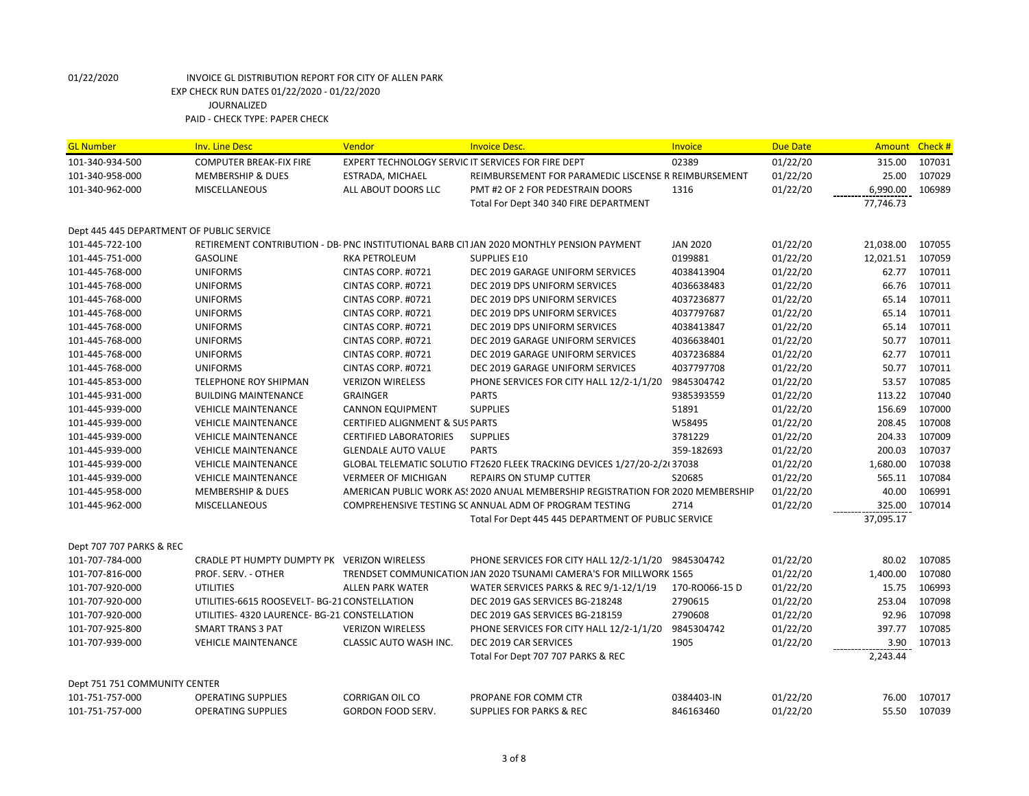| <b>GL Number</b>                          | <b>Inv. Line Desc</b>                         | Vendor                                             | <b>Invoice Desc.</b>                                                                     | Invoice         | <b>Due Date</b> |           | Amount Check # |
|-------------------------------------------|-----------------------------------------------|----------------------------------------------------|------------------------------------------------------------------------------------------|-----------------|-----------------|-----------|----------------|
| 101-340-934-500                           | <b>COMPUTER BREAK-FIX FIRE</b>                | EXPERT TECHNOLOGY SERVIC IT SERVICES FOR FIRE DEPT |                                                                                          | 02389           | 01/22/20        | 315.00    | 107031         |
| 101-340-958-000                           | <b>MEMBERSHIP &amp; DUES</b>                  | ESTRADA, MICHAEL                                   | REIMBURSEMENT FOR PARAMEDIC LISCENSE R REIMBURSEMENT                                     |                 | 01/22/20        | 25.00     | 107029         |
| 101-340-962-000                           | <b>MISCELLANEOUS</b>                          | ALL ABOUT DOORS LLC                                | PMT #2 OF 2 FOR PEDESTRAIN DOORS                                                         | 1316            | 01/22/20        | 6,990.00  | 106989         |
|                                           |                                               |                                                    | Total For Dept 340 340 FIRE DEPARTMENT                                                   |                 |                 | 77,746.73 |                |
| Dept 445 445 DEPARTMENT OF PUBLIC SERVICE |                                               |                                                    |                                                                                          |                 |                 |           |                |
| 101-445-722-100                           |                                               |                                                    | RETIREMENT CONTRIBUTION - DB- PNC INSTITUTIONAL BARB CI1JAN 2020 MONTHLY PENSION PAYMENT | <b>JAN 2020</b> | 01/22/20        | 21,038.00 | 107055         |
| 101-445-751-000                           | <b>GASOLINE</b>                               | <b>RKA PETROLEUM</b>                               | <b>SUPPLIES E10</b>                                                                      | 0199881         | 01/22/20        | 12,021.51 | 107059         |
| 101-445-768-000                           | <b>UNIFORMS</b>                               | CINTAS CORP. #0721                                 | DEC 2019 GARAGE UNIFORM SERVICES                                                         | 4038413904      | 01/22/20        | 62.77     | 107011         |
| 101-445-768-000                           | <b>UNIFORMS</b>                               | CINTAS CORP. #0721                                 | DEC 2019 DPS UNIFORM SERVICES                                                            | 4036638483      | 01/22/20        | 66.76     | 107011         |
| 101-445-768-000                           | <b>UNIFORMS</b>                               | CINTAS CORP. #0721                                 | DEC 2019 DPS UNIFORM SERVICES                                                            | 4037236877      | 01/22/20        | 65.14     | 107011         |
| 101-445-768-000                           | <b>UNIFORMS</b>                               | CINTAS CORP. #0721                                 | DEC 2019 DPS UNIFORM SERVICES                                                            | 4037797687      | 01/22/20        | 65.14     | 107011         |
| 101-445-768-000                           | <b>UNIFORMS</b>                               | CINTAS CORP. #0721                                 | DEC 2019 DPS UNIFORM SERVICES                                                            | 4038413847      | 01/22/20        | 65.14     | 107011         |
| 101-445-768-000                           | <b>UNIFORMS</b>                               | CINTAS CORP. #0721                                 | DEC 2019 GARAGE UNIFORM SERVICES                                                         | 4036638401      | 01/22/20        | 50.77     | 107011         |
| 101-445-768-000                           | <b>UNIFORMS</b>                               | CINTAS CORP. #0721                                 | DEC 2019 GARAGE UNIFORM SERVICES                                                         | 4037236884      | 01/22/20        | 62.77     | 107011         |
| 101-445-768-000                           | <b>UNIFORMS</b>                               | CINTAS CORP. #0721                                 | DEC 2019 GARAGE UNIFORM SERVICES                                                         | 4037797708      | 01/22/20        | 50.77     | 107011         |
| 101-445-853-000                           | <b>TELEPHONE ROY SHIPMAN</b>                  | <b>VERIZON WIRELESS</b>                            | PHONE SERVICES FOR CITY HALL 12/2-1/1/20                                                 | 9845304742      | 01/22/20        | 53.57     | 107085         |
| 101-445-931-000                           | <b>BUILDING MAINTENANCE</b>                   | <b>GRAINGER</b>                                    | <b>PARTS</b>                                                                             | 9385393559      | 01/22/20        | 113.22    | 107040         |
| 101-445-939-000                           | <b>VEHICLE MAINTENANCE</b>                    | <b>CANNON EQUIPMENT</b>                            | <b>SUPPLIES</b>                                                                          | 51891           | 01/22/20        | 156.69    | 107000         |
| 101-445-939-000                           | <b>VEHICLE MAINTENANCE</b>                    | <b>CERTIFIED ALIGNMENT &amp; SUS PARTS</b>         |                                                                                          | W58495          | 01/22/20        | 208.45    | 107008         |
| 101-445-939-000                           | <b>VEHICLE MAINTENANCE</b>                    | <b>CERTIFIED LABORATORIES</b>                      | <b>SUPPLIES</b>                                                                          | 3781229         | 01/22/20        | 204.33    | 107009         |
| 101-445-939-000                           | <b>VEHICLE MAINTENANCE</b>                    | <b>GLENDALE AUTO VALUE</b>                         | <b>PARTS</b>                                                                             | 359-182693      | 01/22/20        | 200.03    | 107037         |
| 101-445-939-000                           | <b>VEHICLE MAINTENANCE</b>                    |                                                    | GLOBAL TELEMATIC SOLUTIO FT2620 FLEEK TRACKING DEVICES 1/27/20-2/2(37038                 |                 | 01/22/20        | 1,680.00  | 107038         |
| 101-445-939-000                           | <b>VEHICLE MAINTENANCE</b>                    | <b>VERMEER OF MICHIGAN</b>                         | REPAIRS ON STUMP CUTTER                                                                  | S20685          | 01/22/20        | 565.11    | 107084         |
| 101-445-958-000                           | <b>MEMBERSHIP &amp; DUES</b>                  |                                                    | AMERICAN PUBLIC WORK AS! 2020 ANUAL MEMBERSHIP REGISTRATION FOR 2020 MEMBERSHIP          |                 | 01/22/20        | 40.00     | 106991         |
| 101-445-962-000                           | <b>MISCELLANEOUS</b>                          |                                                    | COMPREHENSIVE TESTING SC ANNUAL ADM OF PROGRAM TESTING                                   | 2714            | 01/22/20        | 325.00    | 107014         |
|                                           |                                               |                                                    | Total For Dept 445 445 DEPARTMENT OF PUBLIC SERVICE                                      |                 |                 | 37,095.17 |                |
| Dept 707 707 PARKS & REC                  |                                               |                                                    |                                                                                          |                 |                 |           |                |
| 101-707-784-000                           | CRADLE PT HUMPTY DUMPTY PK VERIZON WIRELESS   |                                                    | PHONE SERVICES FOR CITY HALL 12/2-1/1/20                                                 | 9845304742      | 01/22/20        | 80.02     | 107085         |
| 101-707-816-000                           | PROF. SERV. - OTHER                           |                                                    | TRENDSET COMMUNICATION JAN 2020 TSUNAMI CAMERA'S FOR MILLWORK 1565                       |                 | 01/22/20        | 1,400.00  | 107080         |
| 101-707-920-000                           | <b>UTILITIES</b>                              | <b>ALLEN PARK WATER</b>                            | WATER SERVICES PARKS & REC 9/1-12/1/19                                                   | 170-RO066-15D   | 01/22/20        | 15.75     | 106993         |
| 101-707-920-000                           | UTILITIES-6615 ROOSEVELT- BG-21 CONSTELLATION |                                                    | DEC 2019 GAS SERVICES BG-218248                                                          | 2790615         | 01/22/20        | 253.04    | 107098         |
| 101-707-920-000                           | UTILITIES- 4320 LAURENCE- BG-21 CONSTELLATION |                                                    | DEC 2019 GAS SERVICES BG-218159                                                          | 2790608         | 01/22/20        | 92.96     | 107098         |
| 101-707-925-800                           | <b>SMART TRANS 3 PAT</b>                      | <b>VERIZON WIRELESS</b>                            | PHONE SERVICES FOR CITY HALL 12/2-1/1/20                                                 | 9845304742      | 01/22/20        | 397.77    | 107085         |
| 101-707-939-000                           | <b>VEHICLE MAINTENANCE</b>                    | CLASSIC AUTO WASH INC.                             | DEC 2019 CAR SERVICES                                                                    | 1905            | 01/22/20        | 3.90      | 107013         |
|                                           |                                               |                                                    | Total For Dept 707 707 PARKS & REC                                                       |                 |                 | 2,243.44  |                |
| Dept 751 751 COMMUNITY CENTER             |                                               |                                                    |                                                                                          |                 |                 |           |                |
| 101-751-757-000                           | <b>OPERATING SUPPLIES</b>                     | CORRIGAN OIL CO                                    | PROPANE FOR COMM CTR                                                                     | 0384403-IN      | 01/22/20        | 76.00     | 107017         |
| 101-751-757-000                           | <b>OPERATING SUPPLIES</b>                     | GORDON FOOD SERV.                                  | <b>SUPPLIES FOR PARKS &amp; REC</b>                                                      | 846163460       | 01/22/20        | 55.50     | 107039         |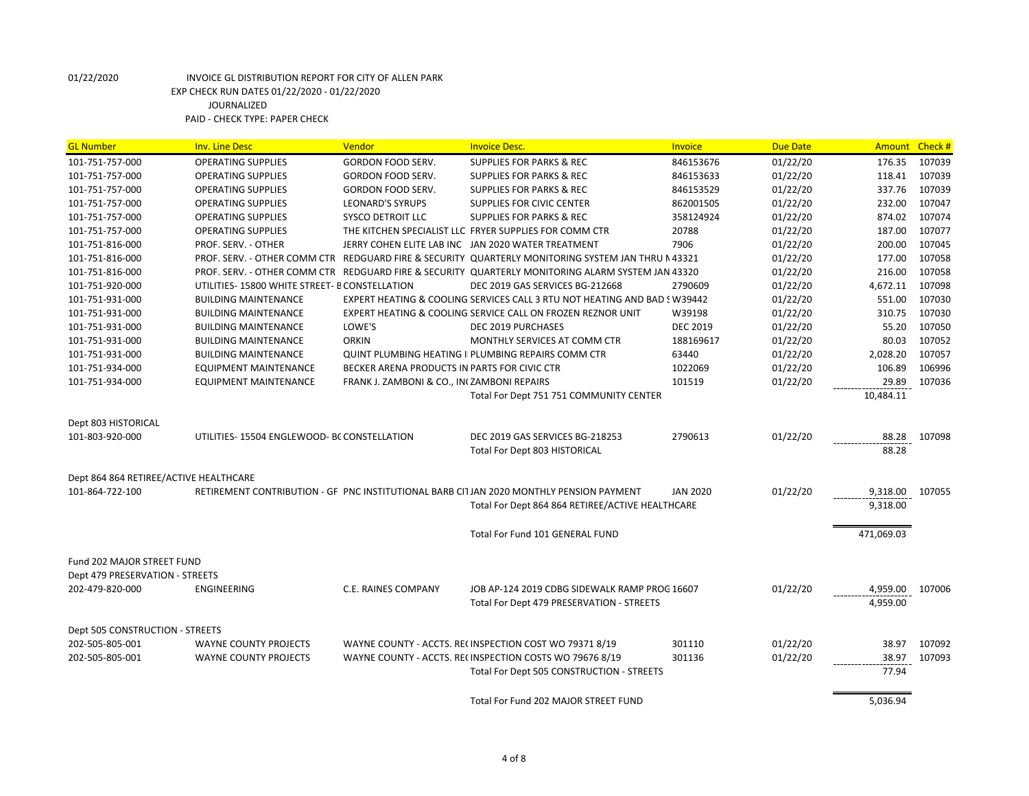| <b>GL Number</b>                       | <b>Inv. Line Desc</b>                         | Vendor                                       | <b>Invoice Desc.</b>                                                                               | <b>Invoice</b>  | <b>Due Date</b> | Amount     | Check # |
|----------------------------------------|-----------------------------------------------|----------------------------------------------|----------------------------------------------------------------------------------------------------|-----------------|-----------------|------------|---------|
| 101-751-757-000                        | <b>OPERATING SUPPLIES</b>                     | GORDON FOOD SERV.                            | <b>SUPPLIES FOR PARKS &amp; REC</b>                                                                | 846153676       | 01/22/20        | 176.35     | 107039  |
| 101-751-757-000                        | <b>OPERATING SUPPLIES</b>                     | GORDON FOOD SERV.                            | <b>SUPPLIES FOR PARKS &amp; REC</b>                                                                | 846153633       | 01/22/20        | 118.41     | 107039  |
| 101-751-757-000                        | <b>OPERATING SUPPLIES</b>                     | <b>GORDON FOOD SERV.</b>                     | <b>SUPPLIES FOR PARKS &amp; REC</b>                                                                | 846153529       | 01/22/20        | 337.76     | 107039  |
| 101-751-757-000                        | <b>OPERATING SUPPLIES</b>                     | <b>LEONARD'S SYRUPS</b>                      | SUPPLIES FOR CIVIC CENTER                                                                          | 862001505       | 01/22/20        | 232.00     | 107047  |
| 101-751-757-000                        | <b>OPERATING SUPPLIES</b>                     | SYSCO DETROIT LLC                            | <b>SUPPLIES FOR PARKS &amp; REC</b>                                                                | 358124924       | 01/22/20        | 874.02     | 107074  |
| 101-751-757-000                        | <b>OPERATING SUPPLIES</b>                     |                                              | THE KITCHEN SPECIALIST LLC FRYER SUPPLIES FOR COMM CTR                                             | 20788           | 01/22/20        | 187.00     | 107077  |
| 101-751-816-000                        | PROF. SERV. - OTHER                           |                                              | JERRY COHEN ELITE LAB INC JAN 2020 WATER TREATMENT                                                 | 7906            | 01/22/20        | 200.00     | 107045  |
| 101-751-816-000                        |                                               |                                              | PROF. SERV. - OTHER COMM CTR REDGUARD FIRE & SECURITY QUARTERLY MONITORING SYSTEM JAN THRU N 43321 |                 | 01/22/20        | 177.00     | 107058  |
| 101-751-816-000                        |                                               |                                              | PROF. SERV. - OTHER COMM CTR REDGUARD FIRE & SECURITY QUARTERLY MONITORING ALARM SYSTEM JAN 43320  |                 | 01/22/20        | 216.00     | 107058  |
| 101-751-920-000                        | UTILITIES-15800 WHITE STREET- B CONSTELLATION |                                              | DEC 2019 GAS SERVICES BG-212668                                                                    | 2790609         | 01/22/20        | 4,672.11   | 107098  |
| 101-751-931-000                        | <b>BUILDING MAINTENANCE</b>                   |                                              | EXPERT HEATING & COOLING SERVICES CALL 3 RTU NOT HEATING AND BAD 5 W39442                          |                 | 01/22/20        | 551.00     | 107030  |
| 101-751-931-000                        | <b>BUILDING MAINTENANCE</b>                   |                                              | EXPERT HEATING & COOLING SERVICE CALL ON FROZEN REZNOR UNIT                                        | W39198          | 01/22/20        | 310.75     | 107030  |
| 101-751-931-000                        | <b>BUILDING MAINTENANCE</b>                   | LOWE'S                                       | DEC 2019 PURCHASES                                                                                 | <b>DEC 2019</b> | 01/22/20        | 55.20      | 107050  |
| 101-751-931-000                        | <b>BUILDING MAINTENANCE</b>                   | <b>ORKIN</b>                                 | MONTHLY SERVICES AT COMM CTR                                                                       | 188169617       | 01/22/20        | 80.03      | 107052  |
| 101-751-931-000                        | <b>BUILDING MAINTENANCE</b>                   |                                              | <b>QUINT PLUMBING HEATING II PLUMBING REPAIRS COMM CTR</b>                                         | 63440           | 01/22/20        | 2,028.20   | 107057  |
| 101-751-934-000                        | <b>EQUIPMENT MAINTENANCE</b>                  | BECKER ARENA PRODUCTS IN PARTS FOR CIVIC CTR |                                                                                                    | 1022069         | 01/22/20        | 106.89     | 106996  |
| 101-751-934-000                        | <b>EQUIPMENT MAINTENANCE</b>                  | FRANK J. ZAMBONI & CO., IN ZAMBONI REPAIRS   |                                                                                                    | 101519          | 01/22/20        | 29.89      | 107036  |
|                                        |                                               |                                              | Total For Dept 751 751 COMMUNITY CENTER                                                            |                 |                 | 10,484.11  |         |
|                                        |                                               |                                              |                                                                                                    |                 |                 |            |         |
| Dept 803 HISTORICAL                    |                                               |                                              |                                                                                                    |                 |                 |            |         |
| 101-803-920-000                        | UTILITIES-15504 ENGLEWOOD- BC CONSTELLATION   |                                              | DEC 2019 GAS SERVICES BG-218253                                                                    | 2790613         | 01/22/20        | 88.28      | 107098  |
|                                        |                                               |                                              | <b>Total For Dept 803 HISTORICAL</b>                                                               |                 |                 | 88.28      |         |
|                                        |                                               |                                              |                                                                                                    |                 |                 |            |         |
| Dept 864 864 RETIREE/ACTIVE HEALTHCARE |                                               |                                              |                                                                                                    |                 |                 |            |         |
| 101-864-722-100                        |                                               |                                              | RETIREMENT CONTRIBUTION - GF PNC INSTITUTIONAL BARB CI1JAN 2020 MONTHLY PENSION PAYMENT            | <b>JAN 2020</b> | 01/22/20        | 9,318.00   | 107055  |
|                                        |                                               |                                              | Total For Dept 864 864 RETIREE/ACTIVE HEALTHCARE                                                   |                 |                 | 9,318.00   |         |
|                                        |                                               |                                              |                                                                                                    |                 |                 |            |         |
|                                        |                                               |                                              | Total For Fund 101 GENERAL FUND                                                                    |                 |                 | 471,069.03 |         |
|                                        |                                               |                                              |                                                                                                    |                 |                 |            |         |
| <b>Fund 202 MAJOR STREET FUND</b>      |                                               |                                              |                                                                                                    |                 |                 |            |         |
| Dept 479 PRESERVATION - STREETS        |                                               |                                              |                                                                                                    |                 |                 |            |         |
| 202-479-820-000                        | ENGINEERING                                   | C.E. RAINES COMPANY                          | JOB AP-124 2019 CDBG SIDEWALK RAMP PROG 16607                                                      |                 | 01/22/20        | 4,959.00   | 107006  |
|                                        |                                               |                                              | Total For Dept 479 PRESERVATION - STREETS                                                          |                 |                 | 4,959.00   |         |
|                                        |                                               |                                              |                                                                                                    |                 |                 |            |         |
| Dept 505 CONSTRUCTION - STREETS        |                                               |                                              |                                                                                                    |                 |                 |            |         |
| 202-505-805-001                        | <b>WAYNE COUNTY PROJECTS</b>                  |                                              | WAYNE COUNTY - ACCTS. RECINSPECTION COST WO 79371 8/19                                             | 301110          | 01/22/20        | 38.97      | 107092  |
| 202-505-805-001                        | <b>WAYNE COUNTY PROJECTS</b>                  |                                              | WAYNE COUNTY - ACCTS. RECINSPECTION COSTS WO 79676 8/19                                            | 301136          | 01/22/20        | 38.97      | 107093  |
|                                        |                                               |                                              | Total For Dept 505 CONSTRUCTION - STREETS                                                          |                 |                 | 77.94      |         |
|                                        |                                               |                                              |                                                                                                    |                 |                 |            |         |
|                                        |                                               |                                              | Total For Fund 202 MAJOR STREET FUND                                                               |                 |                 | 5,036.94   |         |
|                                        |                                               |                                              |                                                                                                    |                 |                 |            |         |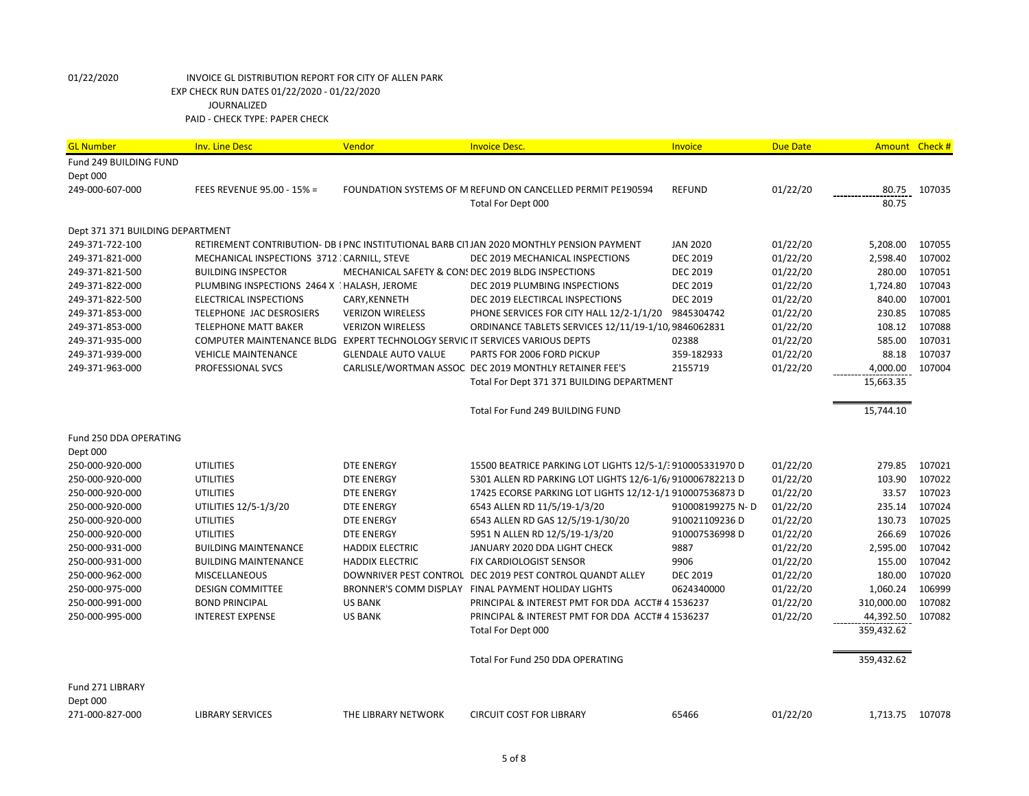| <b>GL Number</b>                 | <b>Inv. Line Desc</b>                                                        | Vendor                     | <b>Invoice Desc.</b>                                                                     | Invoice          | <b>Due Date</b> | Amount Check # |        |
|----------------------------------|------------------------------------------------------------------------------|----------------------------|------------------------------------------------------------------------------------------|------------------|-----------------|----------------|--------|
| Fund 249 BUILDING FUND           |                                                                              |                            |                                                                                          |                  |                 |                |        |
| Dept 000                         |                                                                              |                            |                                                                                          |                  |                 |                |        |
| 249-000-607-000                  | FEES REVENUE 95.00 - 15% =                                                   |                            | FOUNDATION SYSTEMS OF M REFUND ON CANCELLED PERMIT PE190594                              | <b>REFUND</b>    | 01/22/20        | 80.75          | 107035 |
|                                  |                                                                              |                            | Total For Dept 000                                                                       |                  |                 | 80.75          |        |
|                                  |                                                                              |                            |                                                                                          |                  |                 |                |        |
| Dept 371 371 BUILDING DEPARTMENT |                                                                              |                            |                                                                                          |                  |                 |                |        |
| 249-371-722-100                  |                                                                              |                            | RETIREMENT CONTRIBUTION- DB I PNC INSTITUTIONAL BARB CITJAN 2020 MONTHLY PENSION PAYMENT | <b>JAN 2020</b>  | 01/22/20        | 5,208.00       | 107055 |
| 249-371-821-000                  | MECHANICAL INSPECTIONS 3712 : CARNILL, STEVE                                 |                            | DEC 2019 MECHANICAL INSPECTIONS                                                          | <b>DEC 2019</b>  | 01/22/20        | 2,598.40       | 107002 |
| 249-371-821-500                  | <b>BUILDING INSPECTOR</b>                                                    |                            | MECHANICAL SAFETY & CON: DEC 2019 BLDG INSPECTIONS                                       | <b>DEC 2019</b>  | 01/22/20        | 280.00         | 107051 |
| 249-371-822-000                  | PLUMBING INSPECTIONS 2464 X HALASH, JEROME                                   |                            | DEC 2019 PLUMBING INSPECTIONS                                                            | <b>DEC 2019</b>  | 01/22/20        | 1,724.80       | 107043 |
| 249-371-822-500                  | <b>ELECTRICAL INSPECTIONS</b>                                                | CARY, KENNETH              | DEC 2019 ELECTIRCAL INSPECTIONS                                                          | <b>DEC 2019</b>  | 01/22/20        | 840.00         | 107001 |
| 249-371-853-000                  | TELEPHONE JAC DESROSIERS                                                     | <b>VERIZON WIRELESS</b>    | PHONE SERVICES FOR CITY HALL 12/2-1/1/20                                                 | 9845304742       | 01/22/20        | 230.85         | 107085 |
| 249-371-853-000                  | <b>TELEPHONE MATT BAKER</b>                                                  | <b>VERIZON WIRELESS</b>    | ORDINANCE TABLETS SERVICES 12/11/19-1/10, 9846062831                                     |                  | 01/22/20        | 108.12         | 107088 |
| 249-371-935-000                  | COMPUTER MAINTENANCE BLDG EXPERT TECHNOLOGY SERVIC IT SERVICES VARIOUS DEPTS |                            |                                                                                          | 02388            | 01/22/20        | 585.00         | 107031 |
| 249-371-939-000                  | <b>VEHICLE MAINTENANCE</b>                                                   | <b>GLENDALE AUTO VALUE</b> | PARTS FOR 2006 FORD PICKUP                                                               | 359-182933       | 01/22/20        | 88.18          | 107037 |
| 249-371-963-000                  | PROFESSIONAL SVCS                                                            |                            | CARLISLE/WORTMAN ASSOC DEC 2019 MONTHLY RETAINER FEE'S                                   | 2155719          | 01/22/20        | 4,000.00       | 107004 |
|                                  |                                                                              |                            | Total For Dept 371 371 BUILDING DEPARTMENT                                               |                  |                 | 15,663.35      |        |
|                                  |                                                                              |                            | Total For Fund 249 BUILDING FUND                                                         |                  |                 | 15,744.10      |        |
|                                  |                                                                              |                            |                                                                                          |                  |                 |                |        |
| Fund 250 DDA OPERATING           |                                                                              |                            |                                                                                          |                  |                 |                |        |
| Dept 000                         |                                                                              |                            |                                                                                          |                  |                 |                |        |
| 250-000-920-000                  | <b>UTILITIES</b>                                                             | <b>DTE ENERGY</b>          | 15500 BEATRICE PARKING LOT LIGHTS 12/5-1/: 910005331970 D                                |                  | 01/22/20        | 279.85         | 107021 |
| 250-000-920-000                  | <b>UTILITIES</b>                                                             | <b>DTE ENERGY</b>          | 5301 ALLEN RD PARKING LOT LIGHTS 12/6-1/6/910006782213 D                                 |                  | 01/22/20        | 103.90         | 107022 |
| 250-000-920-000                  | <b>UTILITIES</b>                                                             | <b>DTE ENERGY</b>          | 17425 ECORSE PARKING LOT LIGHTS 12/12-1/1 910007536873 D                                 |                  | 01/22/20        | 33.57          | 107023 |
| 250-000-920-000                  | UTILITIES 12/5-1/3/20                                                        | <b>DTE ENERGY</b>          | 6543 ALLEN RD 11/5/19-1/3/20                                                             | 910008199275 N-D | 01/22/20        | 235.14         | 107024 |
| 250-000-920-000                  | <b>UTILITIES</b>                                                             | <b>DTE ENERGY</b>          | 6543 ALLEN RD GAS 12/5/19-1/30/20                                                        | 910021109236D    | 01/22/20        | 130.73         | 107025 |
| 250-000-920-000                  | <b>UTILITIES</b>                                                             | <b>DTE ENERGY</b>          | 5951 N ALLEN RD 12/5/19-1/3/20                                                           | 910007536998D    | 01/22/20        | 266.69         | 107026 |
| 250-000-931-000                  | <b>BUILDING MAINTENANCE</b>                                                  | <b>HADDIX ELECTRIC</b>     | JANUARY 2020 DDA LIGHT CHECK                                                             | 9887             | 01/22/20        | 2,595.00       | 107042 |
| 250-000-931-000                  | <b>BUILDING MAINTENANCE</b>                                                  | <b>HADDIX ELECTRIC</b>     | <b>FIX CARDIOLOGIST SENSOR</b>                                                           | 9906             | 01/22/20        | 155.00         | 107042 |
| 250-000-962-000                  | MISCELLANEOUS                                                                |                            | DOWNRIVER PEST CONTROL DEC 2019 PEST CONTROL QUANDT ALLEY                                | <b>DEC 2019</b>  | 01/22/20        | 180.00         | 107020 |
| 250-000-975-000                  | <b>DESIGN COMMITTEE</b>                                                      |                            | BRONNER'S COMM DISPLAY FINAL PAYMENT HOLIDAY LIGHTS                                      | 0624340000       | 01/22/20        | 1,060.24       | 106999 |
| 250-000-991-000                  | <b>BOND PRINCIPAL</b>                                                        | <b>US BANK</b>             | PRINCIPAL & INTEREST PMT FOR DDA ACCT# 4 1536237                                         |                  | 01/22/20        | 310,000.00     | 107082 |
| 250-000-995-000                  | <b>INTEREST EXPENSE</b>                                                      | <b>US BANK</b>             | PRINCIPAL & INTEREST PMT FOR DDA ACCT# 4 1536237                                         |                  | 01/22/20        | 44,392.50      | 107082 |
|                                  |                                                                              |                            | Total For Dept 000                                                                       |                  |                 | 359,432.62     |        |
|                                  |                                                                              |                            | Total For Fund 250 DDA OPERATING                                                         |                  |                 | 359,432.62     |        |
|                                  |                                                                              |                            |                                                                                          |                  |                 |                |        |
| Fund 271 LIBRARY                 |                                                                              |                            |                                                                                          |                  |                 |                |        |
| Dept 000                         |                                                                              |                            |                                                                                          |                  |                 |                |        |
| 271-000-827-000                  | <b>LIBRARY SERVICES</b>                                                      | THE LIBRARY NETWORK        | <b>CIRCUIT COST FOR LIBRARY</b>                                                          | 65466            | 01/22/20        | 1,713.75       | 107078 |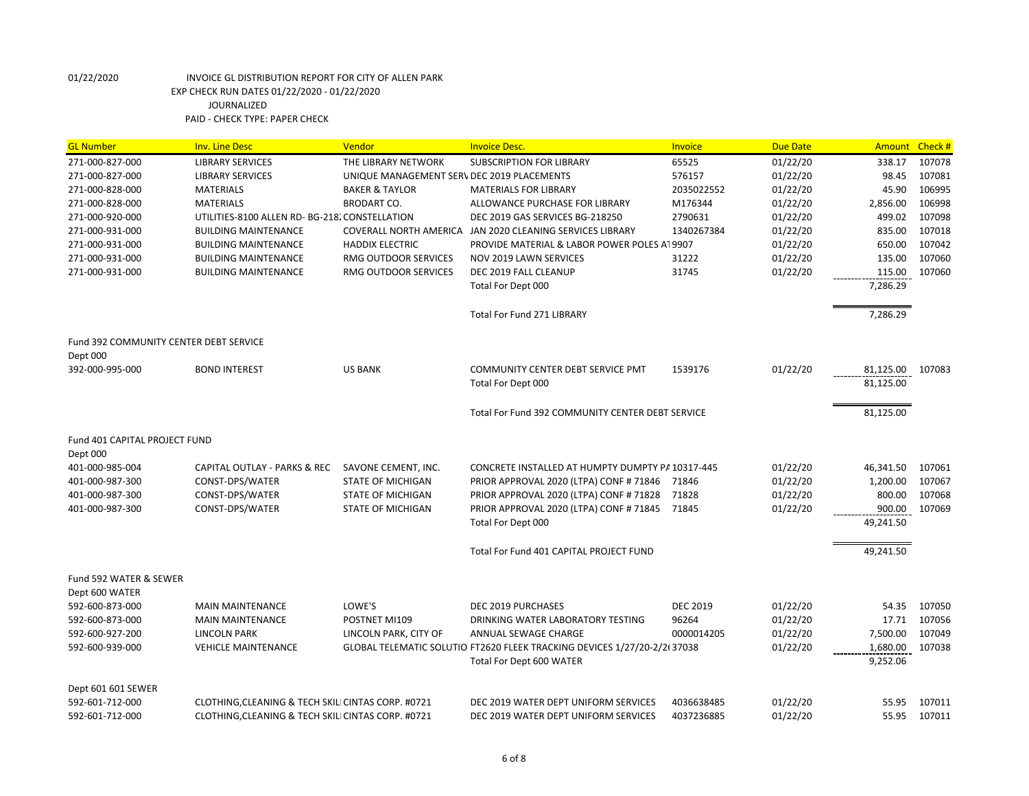| <b>GL Number</b>                       | <b>Inv. Line Desc</b>                              | Vendor                                     | <b>Invoice Desc.</b>                                                     | Invoice         | <b>Due Date</b> | <b>Amount</b>    | Check # |
|----------------------------------------|----------------------------------------------------|--------------------------------------------|--------------------------------------------------------------------------|-----------------|-----------------|------------------|---------|
| 271-000-827-000                        | <b>LIBRARY SERVICES</b>                            | THE LIBRARY NETWORK                        | <b>SUBSCRIPTION FOR LIBRARY</b>                                          | 65525           | 01/22/20        | 338.17           | 107078  |
| 271-000-827-000                        | <b>LIBRARY SERVICES</b>                            | UNIQUE MANAGEMENT SERV DEC 2019 PLACEMENTS |                                                                          | 576157          | 01/22/20        | 98.45            | 107081  |
| 271-000-828-000                        | <b>MATERIALS</b>                                   | <b>BAKER &amp; TAYLOR</b>                  | <b>MATERIALS FOR LIBRARY</b>                                             | 2035022552      | 01/22/20        | 45.90            | 106995  |
| 271-000-828-000                        | <b>MATERIALS</b>                                   | <b>BRODART CO.</b>                         | ALLOWANCE PURCHASE FOR LIBRARY                                           | M176344         | 01/22/20        | 2,856.00         | 106998  |
| 271-000-920-000                        | UTILITIES-8100 ALLEN RD- BG-218. CONSTELLATION     |                                            | DEC 2019 GAS SERVICES BG-218250                                          | 2790631         | 01/22/20        | 499.02           | 107098  |
| 271-000-931-000                        | <b>BUILDING MAINTENANCE</b>                        |                                            | COVERALL NORTH AMERICA JAN 2020 CLEANING SERVICES LIBRARY                | 1340267384      | 01/22/20        | 835.00           | 107018  |
| 271-000-931-000                        | <b>BUILDING MAINTENANCE</b>                        | <b>HADDIX ELECTRIC</b>                     | PROVIDE MATERIAL & LABOR POWER POLES AT 9907                             |                 | 01/22/20        | 650.00           | 107042  |
| 271-000-931-000                        | <b>BUILDING MAINTENANCE</b>                        | RMG OUTDOOR SERVICES                       | NOV 2019 LAWN SERVICES                                                   | 31222           | 01/22/20        | 135.00           | 107060  |
| 271-000-931-000                        | <b>BUILDING MAINTENANCE</b>                        | RMG OUTDOOR SERVICES                       | DEC 2019 FALL CLEANUP                                                    | 31745           | 01/22/20        | 115.00           | 107060  |
|                                        |                                                    |                                            | Total For Dept 000                                                       |                 |                 | 7,286.29         |         |
|                                        |                                                    |                                            | <b>Total For Fund 271 LIBRARY</b>                                        |                 |                 | 7,286.29         |         |
| Fund 392 COMMUNITY CENTER DEBT SERVICE |                                                    |                                            |                                                                          |                 |                 |                  |         |
| Dept 000                               |                                                    |                                            |                                                                          |                 |                 |                  |         |
| 392-000-995-000                        | <b>BOND INTEREST</b>                               | <b>US BANK</b>                             | COMMUNITY CENTER DEBT SERVICE PMT                                        | 1539176         | 01/22/20        | 81,125.00 107083 |         |
|                                        |                                                    |                                            | Total For Dept 000                                                       |                 |                 | 81,125.00        |         |
|                                        |                                                    |                                            | Total For Fund 392 COMMUNITY CENTER DEBT SERVICE                         |                 |                 | 81,125.00        |         |
| Fund 401 CAPITAL PROJECT FUND          |                                                    |                                            |                                                                          |                 |                 |                  |         |
| Dept 000                               |                                                    |                                            |                                                                          |                 |                 |                  |         |
| 401-000-985-004                        | CAPITAL OUTLAY - PARKS & REC                       | SAVONE CEMENT, INC.                        | CONCRETE INSTALLED AT HUMPTY DUMPTY PA 10317-445                         |                 | 01/22/20        | 46,341.50        | 107061  |
| 401-000-987-300                        | CONST-DPS/WATER                                    | <b>STATE OF MICHIGAN</b>                   | PRIOR APPROVAL 2020 (LTPA) CONF # 71846                                  | 71846           | 01/22/20        | 1,200.00         | 107067  |
| 401-000-987-300                        | CONST-DPS/WATER                                    | <b>STATE OF MICHIGAN</b>                   | PRIOR APPROVAL 2020 (LTPA) CONF # 71828                                  | 71828           | 01/22/20        | 800.00           | 107068  |
| 401-000-987-300                        | CONST-DPS/WATER                                    | <b>STATE OF MICHIGAN</b>                   | PRIOR APPROVAL 2020 (LTPA) CONF #71845                                   | 71845           | 01/22/20        | 900.00           | 107069  |
|                                        |                                                    |                                            | Total For Dept 000                                                       |                 |                 | 49,241.50        |         |
|                                        |                                                    |                                            | Total For Fund 401 CAPITAL PROJECT FUND                                  |                 |                 | 49,241.50        |         |
| Fund 592 WATER & SEWER                 |                                                    |                                            |                                                                          |                 |                 |                  |         |
| Dept 600 WATER                         |                                                    |                                            |                                                                          |                 |                 |                  |         |
| 592-600-873-000                        | <b>MAIN MAINTENANCE</b>                            | LOWE'S                                     | DEC 2019 PURCHASES                                                       | <b>DEC 2019</b> | 01/22/20        | 54.35            | 107050  |
| 592-600-873-000                        | <b>MAIN MAINTENANCE</b>                            | POSTNET MI109                              | DRINKING WATER LABORATORY TESTING                                        | 96264           | 01/22/20        | 17.71            | 107056  |
| 592-600-927-200                        | <b>LINCOLN PARK</b>                                | LINCOLN PARK, CITY OF                      | ANNUAL SEWAGE CHARGE                                                     | 0000014205      | 01/22/20        | 7,500.00         | 107049  |
| 592-600-939-000                        | <b>VEHICLE MAINTENANCE</b>                         |                                            | GLOBAL TELEMATIC SOLUTIO FT2620 FLEEK TRACKING DEVICES 1/27/20-2/2(37038 |                 | 01/22/20        | 1,680.00         | 107038  |
|                                        |                                                    |                                            | Total For Dept 600 WATER                                                 |                 |                 | 9,252.06         |         |
| Dept 601 601 SEWER                     |                                                    |                                            |                                                                          |                 |                 |                  |         |
| 592-601-712-000                        | CLOTHING, CLEANING & TECH SKILI CINTAS CORP. #0721 |                                            | DEC 2019 WATER DEPT UNIFORM SERVICES                                     | 4036638485      | 01/22/20        | 55.95            | 107011  |
| 592-601-712-000                        | CLOTHING, CLEANING & TECH SKILI CINTAS CORP. #0721 |                                            | DEC 2019 WATER DEPT UNIFORM SERVICES                                     | 4037236885      | 01/22/20        | 55.95            | 107011  |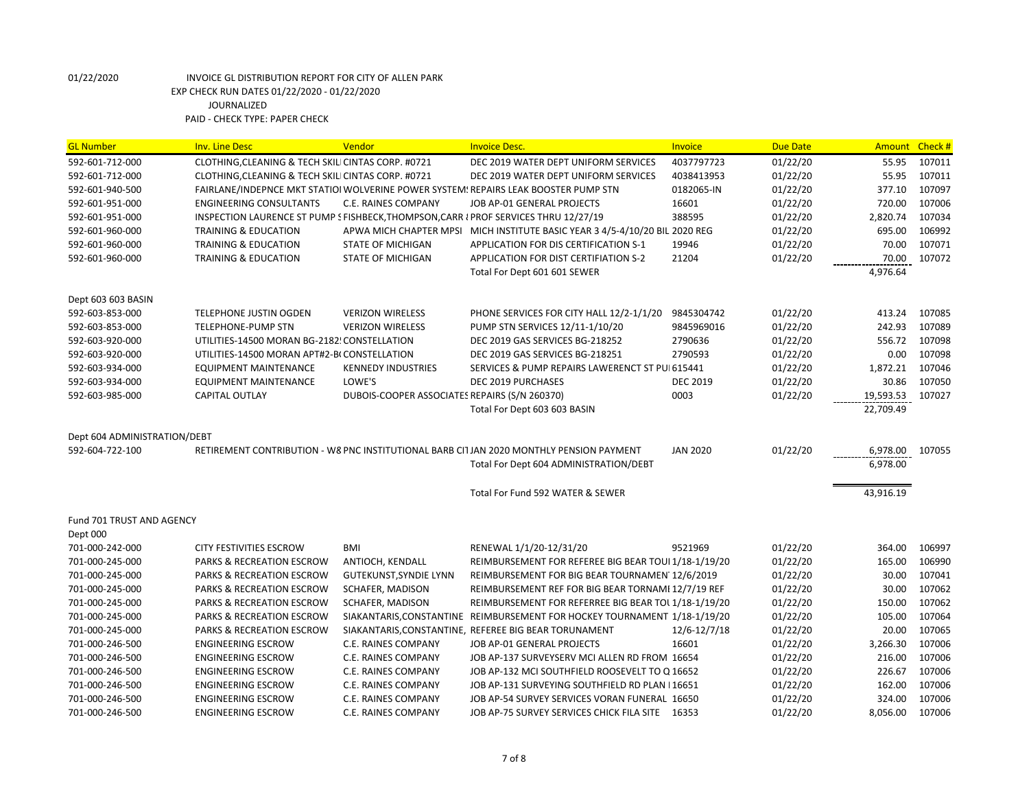| <b>GL Number</b>             | <b>Inv. Line Desc</b>                                                                | Vendor                                        | <b>Invoice Desc.</b>                                                                    | <b>Invoice</b>  | <b>Due Date</b> | Amount Check # |        |
|------------------------------|--------------------------------------------------------------------------------------|-----------------------------------------------|-----------------------------------------------------------------------------------------|-----------------|-----------------|----------------|--------|
| 592-601-712-000              | CLOTHING, CLEANING & TECH SKILI CINTAS CORP. #0721                                   |                                               | DEC 2019 WATER DEPT UNIFORM SERVICES                                                    | 4037797723      | 01/22/20        | 55.95          | 107011 |
| 592-601-712-000              | CLOTHING, CLEANING & TECH SKILI CINTAS CORP. #0721                                   |                                               | DEC 2019 WATER DEPT UNIFORM SERVICES                                                    | 4038413953      | 01/22/20        | 55.95          | 107011 |
| 592-601-940-500              |                                                                                      |                                               | FAIRLANE/INDEPNCE MKT STATIOI WOLVERINE POWER SYSTEM: REPAIRS LEAK BOOSTER PUMP STN     | 0182065-IN      | 01/22/20        | 377.10         | 107097 |
| 592-601-951-000              | <b>ENGINEERING CONSULTANTS</b>                                                       | C.E. RAINES COMPANY                           | JOB AP-01 GENERAL PROJECTS                                                              | 16601           | 01/22/20        | 720.00         | 107006 |
| 592-601-951-000              | INSPECTION LAURENCE ST PUMP S FISHBECK, THOMPSON, CARR I PROF SERVICES THRU 12/27/19 |                                               |                                                                                         | 388595          | 01/22/20        | 2,820.74       | 107034 |
| 592-601-960-000              | <b>TRAINING &amp; EDUCATION</b>                                                      |                                               | APWA MICH CHAPTER MPSI MICH INSTITUTE BASIC YEAR 3 4/5-4/10/20 BIL 2020 REG             |                 | 01/22/20        | 695.00         | 106992 |
| 592-601-960-000              | <b>TRAINING &amp; EDUCATION</b>                                                      | <b>STATE OF MICHIGAN</b>                      | APPLICATION FOR DIS CERTIFICATION S-1                                                   | 19946           | 01/22/20        | 70.00          | 107071 |
| 592-601-960-000              | <b>TRAINING &amp; EDUCATION</b>                                                      | STATE OF MICHIGAN                             | APPLICATION FOR DIST CERTIFIATION S-2                                                   | 21204           | 01/22/20        | 70.00          | 107072 |
|                              |                                                                                      |                                               | Total For Dept 601 601 SEWER                                                            |                 |                 | 4,976.64       |        |
| Dept 603 603 BASIN           |                                                                                      |                                               |                                                                                         |                 |                 |                |        |
| 592-603-853-000              | <b>TELEPHONE JUSTIN OGDEN</b>                                                        | <b>VERIZON WIRELESS</b>                       | PHONE SERVICES FOR CITY HALL 12/2-1/1/20                                                | 9845304742      | 01/22/20        | 413.24         | 107085 |
| 592-603-853-000              | <b>TELEPHONE-PUMP STN</b>                                                            | <b>VERIZON WIRELESS</b>                       | PUMP STN SERVICES 12/11-1/10/20                                                         | 9845969016      | 01/22/20        | 242.93         | 107089 |
| 592-603-920-000              | UTILITIES-14500 MORAN BG-2182! CONSTELLATION                                         |                                               | DEC 2019 GAS SERVICES BG-218252                                                         | 2790636         | 01/22/20        | 556.72         | 107098 |
| 592-603-920-000              | UTILITIES-14500 MORAN APT#2-BI CONSTELLATION                                         |                                               | DEC 2019 GAS SERVICES BG-218251                                                         | 2790593         | 01/22/20        | 0.00           | 107098 |
| 592-603-934-000              | <b>EQUIPMENT MAINTENANCE</b>                                                         | <b>KENNEDY INDUSTRIES</b>                     | SERVICES & PUMP REPAIRS LAWERENCT ST PUI 615441                                         |                 | 01/22/20        | 1,872.21       | 107046 |
| 592-603-934-000              | <b>EQUIPMENT MAINTENANCE</b>                                                         | LOWE'S                                        | DEC 2019 PURCHASES                                                                      | <b>DEC 2019</b> | 01/22/20        | 30.86          | 107050 |
| 592-603-985-000              | <b>CAPITAL OUTLAY</b>                                                                | DUBOIS-COOPER ASSOCIATES REPAIRS (S/N 260370) |                                                                                         | 0003            | 01/22/20        | 19,593.53      | 107027 |
|                              |                                                                                      |                                               | Total For Dept 603 603 BASIN                                                            |                 |                 | 22,709.49      |        |
| Dept 604 ADMINISTRATION/DEBT |                                                                                      |                                               |                                                                                         |                 |                 |                |        |
| 592-604-722-100              |                                                                                      |                                               | RETIREMENT CONTRIBUTION - W8 PNC INSTITUTIONAL BARB CI1JAN 2020 MONTHLY PENSION PAYMENT | <b>JAN 2020</b> | 01/22/20        | 6,978.00       | 107055 |
|                              |                                                                                      |                                               | Total For Dept 604 ADMINISTRATION/DEBT                                                  |                 |                 | 6,978.00       |        |
|                              |                                                                                      |                                               | Total For Fund 592 WATER & SEWER                                                        |                 |                 | 43,916.19      |        |
| Fund 701 TRUST AND AGENCY    |                                                                                      |                                               |                                                                                         |                 |                 |                |        |
| Dept 000                     |                                                                                      |                                               |                                                                                         |                 |                 |                |        |
| 701-000-242-000              | <b>CITY FESTIVITIES ESCROW</b>                                                       | BMI                                           | RENEWAL 1/1/20-12/31/20                                                                 | 9521969         | 01/22/20        | 364.00         | 106997 |
| 701-000-245-000              | <b>PARKS &amp; RECREATION ESCROW</b>                                                 | ANTIOCH, KENDALL                              | REIMBURSEMENT FOR REFEREE BIG BEAR TOUI 1/18-1/19/20                                    |                 | 01/22/20        | 165.00         | 106990 |
| 701-000-245-000              | <b>PARKS &amp; RECREATION ESCROW</b>                                                 | GUTEKUNST, SYNDIE LYNN                        | REIMBURSEMENT FOR BIG BEAR TOURNAMEN' 12/6/2019                                         |                 | 01/22/20        | 30.00          | 107041 |
| 701-000-245-000              | PARKS & RECREATION ESCROW                                                            | SCHAFER, MADISON                              | REIMBURSEMENT REF FOR BIG BEAR TORNAMI 12/7/19 REF                                      |                 | 01/22/20        | 30.00          | 107062 |
| 701-000-245-000              | PARKS & RECREATION ESCROW                                                            | SCHAFER, MADISON                              | REIMBURSEMENT FOR REFERREE BIG BEAR TOL 1/18-1/19/20                                    |                 | 01/22/20        | 150.00         | 107062 |
| 701-000-245-000              | PARKS & RECREATION ESCROW                                                            |                                               | SIAKANTARIS, CONSTANTINE REIMBURSEMENT FOR HOCKEY TOURNAMENT 1/18-1/19/20               |                 | 01/22/20        | 105.00         | 107064 |
| 701-000-245-000              | PARKS & RECREATION ESCROW                                                            |                                               | SIAKANTARIS, CONSTANTINE, REFEREE BIG BEAR TORUNAMENT                                   | 12/6-12/7/18    | 01/22/20        | 20.00          | 107065 |
| 701-000-246-500              | <b>ENGINEERING ESCROW</b>                                                            | C.E. RAINES COMPANY                           | JOB AP-01 GENERAL PROJECTS                                                              | 16601           | 01/22/20        | 3,266.30       | 107006 |
| 701-000-246-500              | <b>ENGINEERING ESCROW</b>                                                            | C.E. RAINES COMPANY                           | JOB AP-137 SURVEYSERV MCI ALLEN RD FROM 16654                                           |                 | 01/22/20        | 216.00         | 107006 |
| 701-000-246-500              | <b>ENGINEERING ESCROW</b>                                                            | C.E. RAINES COMPANY                           | JOB AP-132 MCI SOUTHFIELD ROOSEVELT TO Q 16652                                          |                 | 01/22/20        | 226.67         | 107006 |
| 701-000-246-500              | <b>ENGINEERING ESCROW</b>                                                            | C.E. RAINES COMPANY                           | JOB AP-131 SURVEYING SOUTHFIELD RD PLAN   16651                                         |                 | 01/22/20        | 162.00         | 107006 |
| 701-000-246-500              | <b>ENGINEERING ESCROW</b>                                                            | C.E. RAINES COMPANY                           | JOB AP-54 SURVEY SERVICES VORAN FUNERAL 16650                                           |                 | 01/22/20        | 324.00         | 107006 |
| 701-000-246-500              | <b>ENGINEERING ESCROW</b>                                                            | C.E. RAINES COMPANY                           | JOB AP-75 SURVEY SERVICES CHICK FILA SITE 16353                                         |                 | 01/22/20        | 8,056.00       | 107006 |